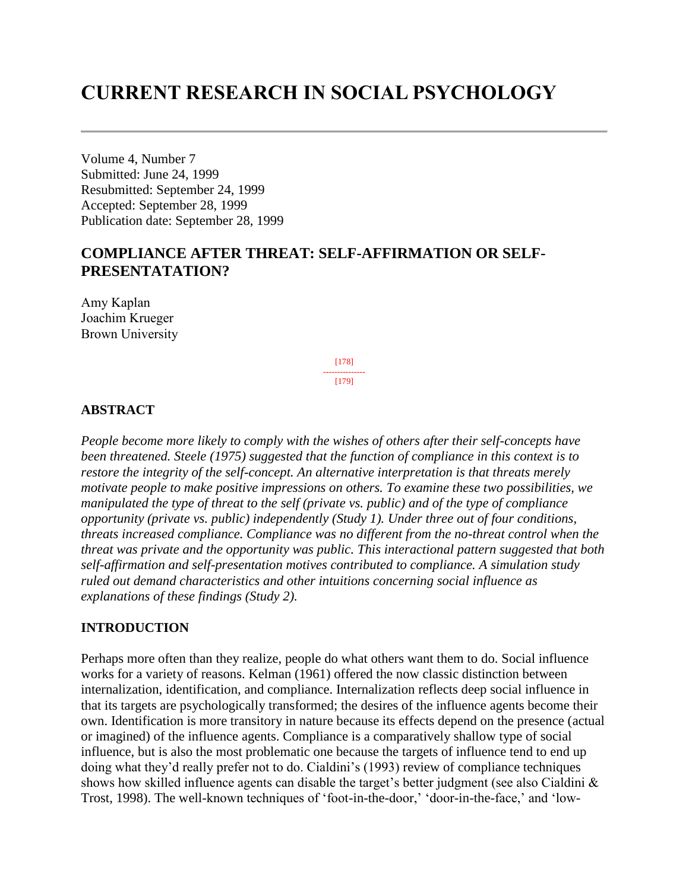# **CURRENT RESEARCH IN SOCIAL PSYCHOLOGY**

Volume 4, Number 7 Submitted: June 24, 1999 Resubmitted: September 24, 1999 Accepted: September 28, 1999 Publication date: September 28, 1999

## **COMPLIANCE AFTER THREAT: SELF-AFFIRMATION OR SELF-PRESENTATATION?**

Amy Kaplan Joachim Krueger Brown University

> [178] --------------- [179]

#### **ABSTRACT**

*People become more likely to comply with the wishes of others after their self-concepts have been threatened. Steele (1975) suggested that the function of compliance in this context is to restore the integrity of the self-concept. An alternative interpretation is that threats merely motivate people to make positive impressions on others. To examine these two possibilities, we manipulated the type of threat to the self (private vs. public) and of the type of compliance opportunity (private vs. public) independently (Study 1). Under three out of four conditions, threats increased compliance. Compliance was no different from the no-threat control when the threat was private and the opportunity was public. This interactional pattern suggested that both self-affirmation and self-presentation motives contributed to compliance. A simulation study ruled out demand characteristics and other intuitions concerning social influence as explanations of these findings (Study 2).*

#### **INTRODUCTION**

Perhaps more often than they realize, people do what others want them to do. Social influence works for a variety of reasons. Kelman (1961) offered the now classic distinction between internalization, identification, and compliance. Internalization reflects deep social influence in that its targets are psychologically transformed; the desires of the influence agents become their own. Identification is more transitory in nature because its effects depend on the presence (actual or imagined) of the influence agents. Compliance is a comparatively shallow type of social influence, but is also the most problematic one because the targets of influence tend to end up doing what they'd really prefer not to do. Cialdini's (1993) review of compliance techniques shows how skilled influence agents can disable the target's better judgment (see also Cialdini & Trost, 1998). The well-known techniques of 'foot-in-the-door,' 'door-in-the-face,' and 'low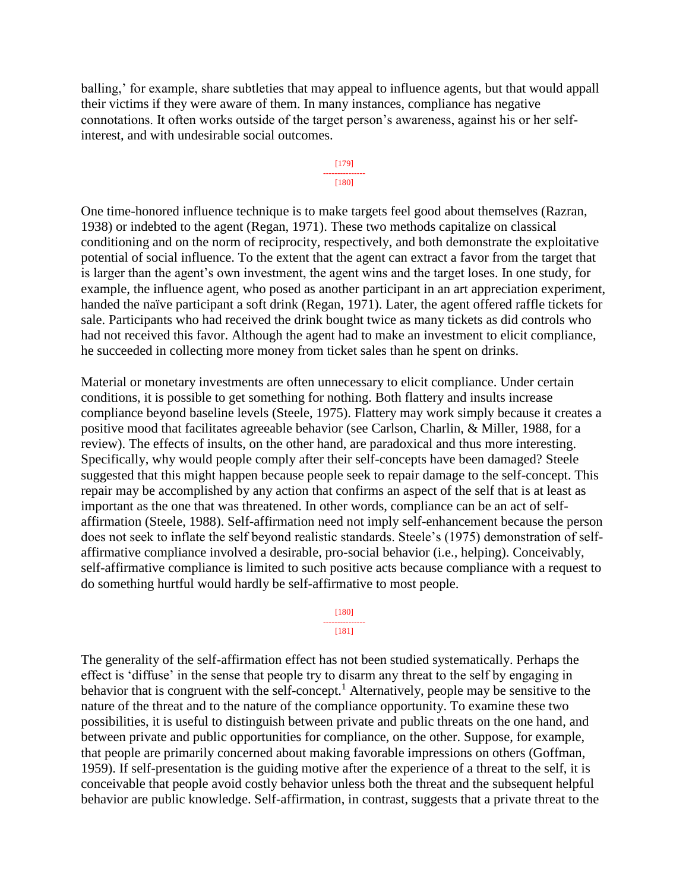balling,' for example, share subtleties that may appeal to influence agents, but that would appall their victims if they were aware of them. In many instances, compliance has negative connotations. It often works outside of the target person's awareness, against his or her selfinterest, and with undesirable social outcomes.



One time-honored influence technique is to make targets feel good about themselves (Razran, 1938) or indebted to the agent (Regan, 1971). These two methods capitalize on classical conditioning and on the norm of reciprocity, respectively, and both demonstrate the exploitative potential of social influence. To the extent that the agent can extract a favor from the target that is larger than the agent's own investment, the agent wins and the target loses. In one study, for example, the influence agent, who posed as another participant in an art appreciation experiment, handed the naïve participant a soft drink (Regan, 1971). Later, the agent offered raffle tickets for sale. Participants who had received the drink bought twice as many tickets as did controls who had not received this favor. Although the agent had to make an investment to elicit compliance, he succeeded in collecting more money from ticket sales than he spent on drinks.

Material or monetary investments are often unnecessary to elicit compliance. Under certain conditions, it is possible to get something for nothing. Both flattery and insults increase compliance beyond baseline levels (Steele, 1975). Flattery may work simply because it creates a positive mood that facilitates agreeable behavior (see Carlson, Charlin, & Miller, 1988, for a review). The effects of insults, on the other hand, are paradoxical and thus more interesting. Specifically, why would people comply after their self-concepts have been damaged? Steele suggested that this might happen because people seek to repair damage to the self-concept. This repair may be accomplished by any action that confirms an aspect of the self that is at least as important as the one that was threatened. In other words, compliance can be an act of selfaffirmation (Steele, 1988). Self-affirmation need not imply self-enhancement because the person does not seek to inflate the self beyond realistic standards. Steele's (1975) demonstration of selfaffirmative compliance involved a desirable, pro-social behavior (i.e., helping). Conceivably, self-affirmative compliance is limited to such positive acts because compliance with a request to do something hurtful would hardly be self-affirmative to most people.

> [180] --------------- [181]

The generality of the self-affirmation effect has not been studied systematically. Perhaps the effect is 'diffuse' in the sense that people try to disarm any threat to the self by engaging in behavior that is congruent with the self-concept.<sup>1</sup> Alternatively, people may be sensitive to the nature of the threat and to the nature of the compliance opportunity. To examine these two possibilities, it is useful to distinguish between private and public threats on the one hand, and between private and public opportunities for compliance, on the other. Suppose, for example, that people are primarily concerned about making favorable impressions on others (Goffman, 1959). If self-presentation is the guiding motive after the experience of a threat to the self, it is conceivable that people avoid costly behavior unless both the threat and the subsequent helpful behavior are public knowledge. Self-affirmation, in contrast, suggests that a private threat to the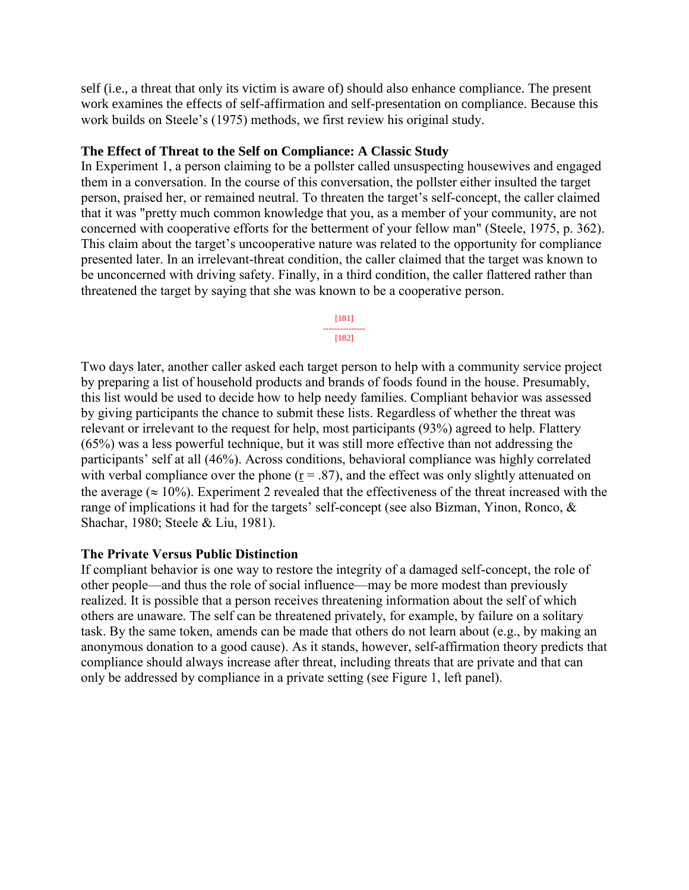self (i.e., a threat that only its victim is aware of) should also enhance compliance. The present work examines the effects of self-affirmation and self-presentation on compliance. Because this work builds on Steele's (1975) methods, we first review his original study.

#### **The Effect of Threat to the Self on Compliance: A Classic Study**

In Experiment 1, a person claiming to be a pollster called unsuspecting housewives and engaged them in a conversation. In the course of this conversation, the pollster either insulted the target person, praised her, or remained neutral. To threaten the target's self-concept, the caller claimed that it was "pretty much common knowledge that you, as a member of your community, are not concerned with cooperative efforts for the betterment of your fellow man" (Steele, 1975, p. 362). This claim about the target's uncooperative nature was related to the opportunity for compliance presented later. In an irrelevant-threat condition, the caller claimed that the target was known to be unconcerned with driving safety. Finally, in a third condition, the caller flattered rather than threatened the target by saying that she was known to be a cooperative person.

> [181] --------------- [182]

Two days later, another caller asked each target person to help with a community service project by preparing a list of household products and brands of foods found in the house. Presumably, this list would be used to decide how to help needy families. Compliant behavior was assessed by giving participants the chance to submit these lists. Regardless of whether the threat was relevant or irrelevant to the request for help, most participants (93%) agreed to help. Flattery (65%) was a less powerful technique, but it was still more effective than not addressing the participants' self at all (46%). Across conditions, behavioral compliance was highly correlated with verbal compliance over the phone ( $r = .87$ ), and the effect was only slightly attenuated on the average ( $\approx 10\%$ ). Experiment 2 revealed that the effectiveness of the threat increased with the range of implications it had for the targets' self-concept (see also Bizman, Yinon, Ronco, & Shachar, 1980; Steele & Liu, 1981).

#### **The Private Versus Public Distinction**

If compliant behavior is one way to restore the integrity of a damaged self-concept, the role of other people—and thus the role of social influence—may be more modest than previously realized. It is possible that a person receives threatening information about the self of which others are unaware. The self can be threatened privately, for example, by failure on a solitary task. By the same token, amends can be made that others do not learn about (e.g., by making an anonymous donation to a good cause). As it stands, however, self-affirmation theory predicts that compliance should always increase after threat, including threats that are private and that can only be addressed by compliance in a private setting (see Figure 1, left panel).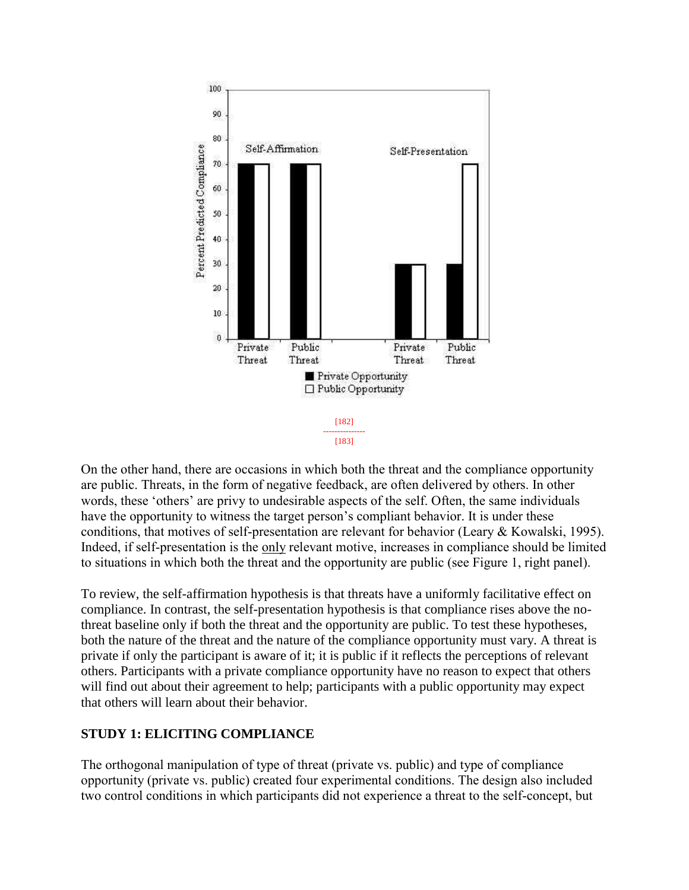

On the other hand, there are occasions in which both the threat and the compliance opportunity are public. Threats, in the form of negative feedback, are often delivered by others. In other words, these 'others' are privy to undesirable aspects of the self. Often, the same individuals have the opportunity to witness the target person's compliant behavior. It is under these conditions, that motives of self-presentation are relevant for behavior (Leary & Kowalski, 1995). Indeed, if self-presentation is the only relevant motive, increases in compliance should be limited to situations in which both the threat and the opportunity are public (see Figure 1, right panel).

To review, the self-affirmation hypothesis is that threats have a uniformly facilitative effect on compliance. In contrast, the self-presentation hypothesis is that compliance rises above the nothreat baseline only if both the threat and the opportunity are public. To test these hypotheses, both the nature of the threat and the nature of the compliance opportunity must vary. A threat is private if only the participant is aware of it; it is public if it reflects the perceptions of relevant others. Participants with a private compliance opportunity have no reason to expect that others will find out about their agreement to help; participants with a public opportunity may expect that others will learn about their behavior.

## **STUDY 1: ELICITING COMPLIANCE**

The orthogonal manipulation of type of threat (private vs. public) and type of compliance opportunity (private vs. public) created four experimental conditions. The design also included two control conditions in which participants did not experience a threat to the self-concept, but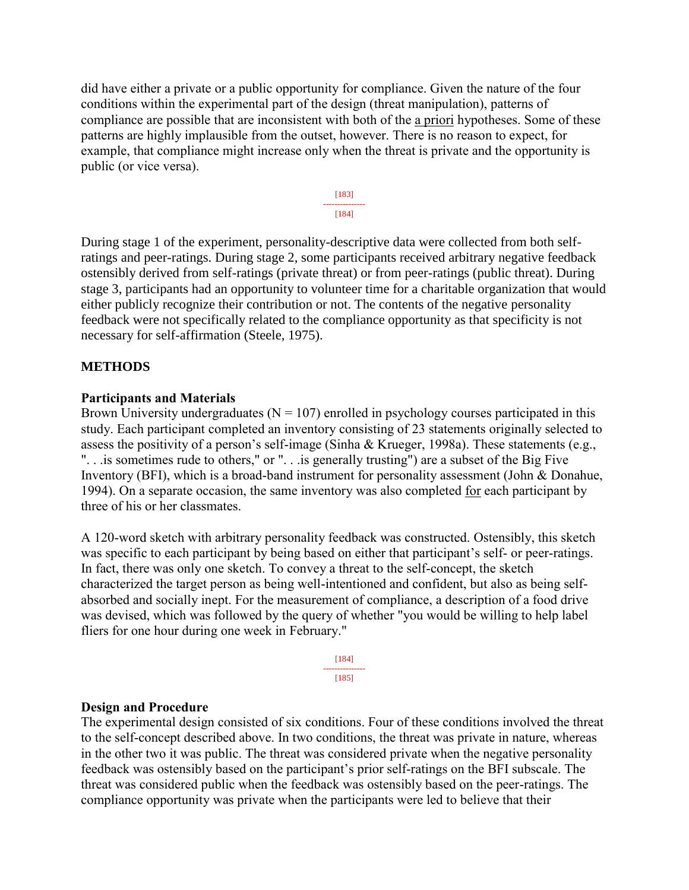did have either a private or a public opportunity for compliance. Given the nature of the four conditions within the experimental part of the design (threat manipulation), patterns of compliance are possible that are inconsistent with both of the a priori hypotheses. Some of these patterns are highly implausible from the outset, however. There is no reason to expect, for example, that compliance might increase only when the threat is private and the opportunity is public (or vice versa).



During stage 1 of the experiment, personality-descriptive data were collected from both selfratings and peer-ratings. During stage 2, some participants received arbitrary negative feedback ostensibly derived from self-ratings (private threat) or from peer-ratings (public threat). During stage 3, participants had an opportunity to volunteer time for a charitable organization that would either publicly recognize their contribution or not. The contents of the negative personality feedback were not specifically related to the compliance opportunity as that specificity is not necessary for self-affirmation (Steele, 1975).

#### **METHODS**

#### **Participants and Materials**

Brown University undergraduates ( $N = 107$ ) enrolled in psychology courses participated in this study. Each participant completed an inventory consisting of 23 statements originally selected to assess the positivity of a person's self-image (Sinha & Krueger, 1998a). These statements (e.g., ". . .is sometimes rude to others," or ". . .is generally trusting") are a subset of the Big Five Inventory (BFI), which is a broad-band instrument for personality assessment (John & Donahue, 1994). On a separate occasion, the same inventory was also completed for each participant by three of his or her classmates.

A 120-word sketch with arbitrary personality feedback was constructed. Ostensibly, this sketch was specific to each participant by being based on either that participant's self- or peer-ratings. In fact, there was only one sketch. To convey a threat to the self-concept, the sketch characterized the target person as being well-intentioned and confident, but also as being selfabsorbed and socially inept. For the measurement of compliance, a description of a food drive was devised, which was followed by the query of whether "you would be willing to help label fliers for one hour during one week in February."

> [184] --------------- [185]

#### **Design and Procedure**

The experimental design consisted of six conditions. Four of these conditions involved the threat to the self-concept described above. In two conditions, the threat was private in nature, whereas in the other two it was public. The threat was considered private when the negative personality feedback was ostensibly based on the participant's prior self-ratings on the BFI subscale. The threat was considered public when the feedback was ostensibly based on the peer-ratings. The compliance opportunity was private when the participants were led to believe that their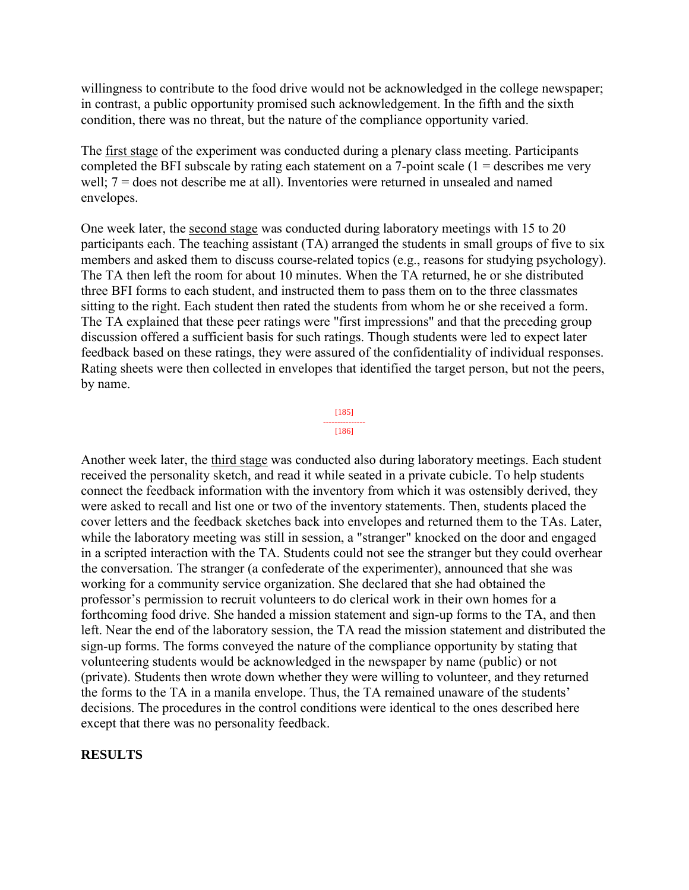willingness to contribute to the food drive would not be acknowledged in the college newspaper; in contrast, a public opportunity promised such acknowledgement. In the fifth and the sixth condition, there was no threat, but the nature of the compliance opportunity varied.

The first stage of the experiment was conducted during a plenary class meeting. Participants completed the BFI subscale by rating each statement on a 7-point scale  $(1 =$  describes me very well; 7 = does not describe me at all). Inventories were returned in unsealed and named envelopes.

One week later, the second stage was conducted during laboratory meetings with 15 to 20 participants each. The teaching assistant (TA) arranged the students in small groups of five to six members and asked them to discuss course-related topics (e.g., reasons for studying psychology). The TA then left the room for about 10 minutes. When the TA returned, he or she distributed three BFI forms to each student, and instructed them to pass them on to the three classmates sitting to the right. Each student then rated the students from whom he or she received a form. The TA explained that these peer ratings were "first impressions" and that the preceding group discussion offered a sufficient basis for such ratings. Though students were led to expect later feedback based on these ratings, they were assured of the confidentiality of individual responses. Rating sheets were then collected in envelopes that identified the target person, but not the peers, by name.

> [185] --------------- [186]

Another week later, the third stage was conducted also during laboratory meetings. Each student received the personality sketch, and read it while seated in a private cubicle. To help students connect the feedback information with the inventory from which it was ostensibly derived, they were asked to recall and list one or two of the inventory statements. Then, students placed the cover letters and the feedback sketches back into envelopes and returned them to the TAs. Later, while the laboratory meeting was still in session, a "stranger" knocked on the door and engaged in a scripted interaction with the TA. Students could not see the stranger but they could overhear the conversation. The stranger (a confederate of the experimenter), announced that she was working for a community service organization. She declared that she had obtained the professor's permission to recruit volunteers to do clerical work in their own homes for a forthcoming food drive. She handed a mission statement and sign-up forms to the TA, and then left. Near the end of the laboratory session, the TA read the mission statement and distributed the sign-up forms. The forms conveyed the nature of the compliance opportunity by stating that volunteering students would be acknowledged in the newspaper by name (public) or not (private). Students then wrote down whether they were willing to volunteer, and they returned the forms to the TA in a manila envelope. Thus, the TA remained unaware of the students' decisions. The procedures in the control conditions were identical to the ones described here except that there was no personality feedback.

#### **RESULTS**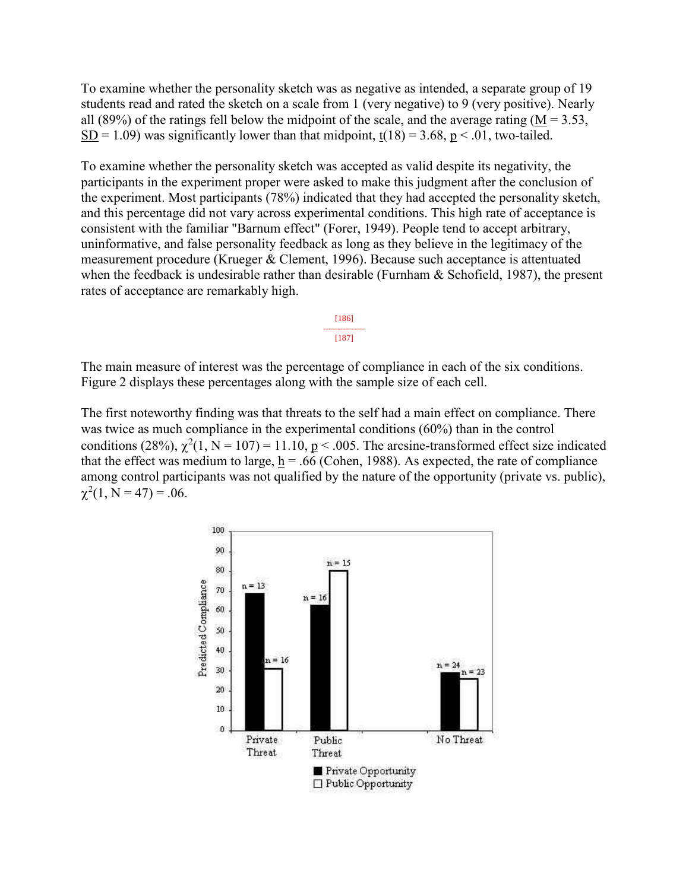To examine whether the personality sketch was as negative as intended, a separate group of 19 students read and rated the sketch on a scale from 1 (very negative) to 9 (very positive). Nearly all (89%) of the ratings fell below the midpoint of the scale, and the average rating ( $M = 3.53$ , SD = 1.09) was significantly lower than that midpoint,  $t(18) = 3.68$ ,  $p < .01$ , two-tailed.

To examine whether the personality sketch was accepted as valid despite its negativity, the participants in the experiment proper were asked to make this judgment after the conclusion of the experiment. Most participants (78%) indicated that they had accepted the personality sketch, and this percentage did not vary across experimental conditions. This high rate of acceptance is consistent with the familiar "Barnum effect" (Forer, 1949). People tend to accept arbitrary, uninformative, and false personality feedback as long as they believe in the legitimacy of the measurement procedure (Krueger & Clement, 1996). Because such acceptance is attentuated when the feedback is undesirable rather than desirable (Furnham & Schofield, 1987), the present rates of acceptance are remarkably high.

> [186] --------------- [187]

The main measure of interest was the percentage of compliance in each of the six conditions. Figure 2 displays these percentages along with the sample size of each cell.

The first noteworthy finding was that threats to the self had a main effect on compliance. There was twice as much compliance in the experimental conditions (60%) than in the control conditions (28%),  $\chi^2(1, N = 107) = 11.10$ ,  $p < .005$ . The arcsine-transformed effect size indicated that the effect was medium to large,  $h = .66$  (Cohen, 1988). As expected, the rate of compliance among control participants was not qualified by the nature of the opportunity (private vs. public),  $\chi^2(1, N = 47) = .06.$ 

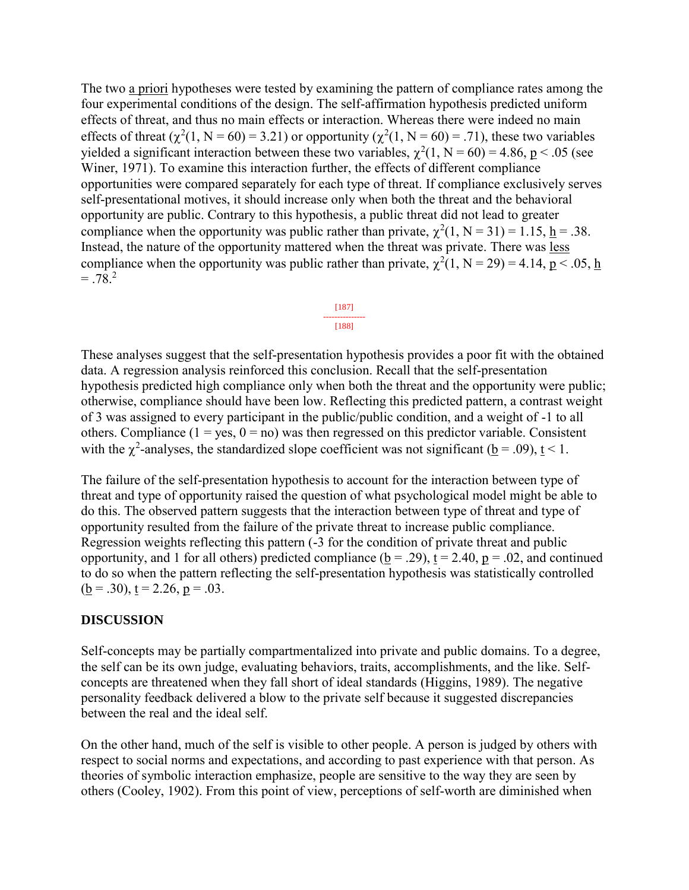The two a priori hypotheses were tested by examining the pattern of compliance rates among the four experimental conditions of the design. The self-affirmation hypothesis predicted uniform effects of threat, and thus no main effects or interaction. Whereas there were indeed no main effects of threat  $(\chi^2(1, N = 60) = 3.21)$  or opportunity  $(\chi^2(1, N = 60) = .71)$ , these two variables yielded a significant interaction between these two variables,  $\chi^2(1, N = 60) = 4.86$ ,  $p < .05$  (see Winer, 1971). To examine this interaction further, the effects of different compliance opportunities were compared separately for each type of threat. If compliance exclusively serves self-presentational motives, it should increase only when both the threat and the behavioral opportunity are public. Contrary to this hypothesis, a public threat did not lead to greater compliance when the opportunity was public rather than private,  $\chi^2(1, N = 31) = 1.15$ ,  $\underline{h} = .38$ . Instead, the nature of the opportunity mattered when the threat was private. There was less compliance when the opportunity was public rather than private,  $\chi^2(1, N = 29) = 4.14$ ,  $p < .05$ , h  $=.78<sup>2</sup>$ 



These analyses suggest that the self-presentation hypothesis provides a poor fit with the obtained data. A regression analysis reinforced this conclusion. Recall that the self-presentation hypothesis predicted high compliance only when both the threat and the opportunity were public; otherwise, compliance should have been low. Reflecting this predicted pattern, a contrast weight of 3 was assigned to every participant in the public/public condition, and a weight of -1 to all others. Compliance  $(1 = yes, 0 = no)$  was then regressed on this predictor variable. Consistent with the  $\chi^2$ -analyses, the standardized slope coefficient was not significant ( $\underline{b} = .09$ ),  $\underline{t} < 1$ .

The failure of the self-presentation hypothesis to account for the interaction between type of threat and type of opportunity raised the question of what psychological model might be able to do this. The observed pattern suggests that the interaction between type of threat and type of opportunity resulted from the failure of the private threat to increase public compliance. Regression weights reflecting this pattern (-3 for the condition of private threat and public opportunity, and 1 for all others) predicted compliance ( $b = .29$ ),  $t = 2.40$ ,  $p = .02$ , and continued to do so when the pattern reflecting the self-presentation hypothesis was statistically controlled  $(b = .30)$ ,  $t = 2.26$ ,  $p = .03$ .

#### **DISCUSSION**

Self-concepts may be partially compartmentalized into private and public domains. To a degree, the self can be its own judge, evaluating behaviors, traits, accomplishments, and the like. Selfconcepts are threatened when they fall short of ideal standards (Higgins, 1989). The negative personality feedback delivered a blow to the private self because it suggested discrepancies between the real and the ideal self.

On the other hand, much of the self is visible to other people. A person is judged by others with respect to social norms and expectations, and according to past experience with that person. As theories of symbolic interaction emphasize, people are sensitive to the way they are seen by others (Cooley, 1902). From this point of view, perceptions of self-worth are diminished when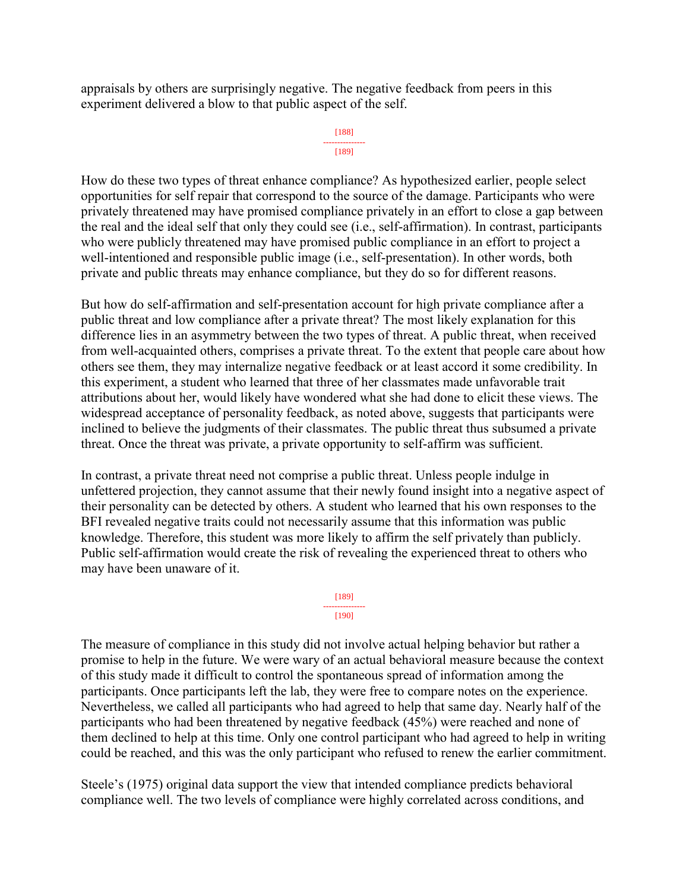appraisals by others are surprisingly negative. The negative feedback from peers in this experiment delivered a blow to that public aspect of the self.

```
[188]
---------------
   [189]
```
How do these two types of threat enhance compliance? As hypothesized earlier, people select opportunities for self repair that correspond to the source of the damage. Participants who were privately threatened may have promised compliance privately in an effort to close a gap between the real and the ideal self that only they could see (i.e., self-affirmation). In contrast, participants who were publicly threatened may have promised public compliance in an effort to project a well-intentioned and responsible public image (i.e., self-presentation). In other words, both private and public threats may enhance compliance, but they do so for different reasons.

But how do self-affirmation and self-presentation account for high private compliance after a public threat and low compliance after a private threat? The most likely explanation for this difference lies in an asymmetry between the two types of threat. A public threat, when received from well-acquainted others, comprises a private threat. To the extent that people care about how others see them, they may internalize negative feedback or at least accord it some credibility. In this experiment, a student who learned that three of her classmates made unfavorable trait attributions about her, would likely have wondered what she had done to elicit these views. The widespread acceptance of personality feedback, as noted above, suggests that participants were inclined to believe the judgments of their classmates. The public threat thus subsumed a private threat. Once the threat was private, a private opportunity to self-affirm was sufficient.

In contrast, a private threat need not comprise a public threat. Unless people indulge in unfettered projection, they cannot assume that their newly found insight into a negative aspect of their personality can be detected by others. A student who learned that his own responses to the BFI revealed negative traits could not necessarily assume that this information was public knowledge. Therefore, this student was more likely to affirm the self privately than publicly. Public self-affirmation would create the risk of revealing the experienced threat to others who may have been unaware of it.

> [189] --------------- [190]

The measure of compliance in this study did not involve actual helping behavior but rather a promise to help in the future. We were wary of an actual behavioral measure because the context of this study made it difficult to control the spontaneous spread of information among the participants. Once participants left the lab, they were free to compare notes on the experience. Nevertheless, we called all participants who had agreed to help that same day. Nearly half of the participants who had been threatened by negative feedback (45%) were reached and none of them declined to help at this time. Only one control participant who had agreed to help in writing could be reached, and this was the only participant who refused to renew the earlier commitment.

Steele's (1975) original data support the view that intended compliance predicts behavioral compliance well. The two levels of compliance were highly correlated across conditions, and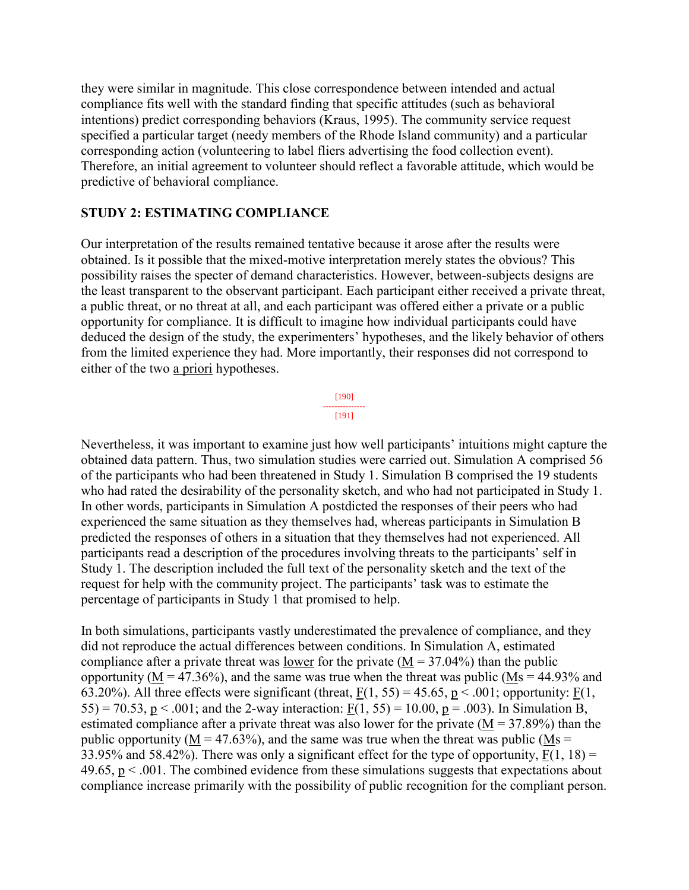they were similar in magnitude. This close correspondence between intended and actual compliance fits well with the standard finding that specific attitudes (such as behavioral intentions) predict corresponding behaviors (Kraus, 1995). The community service request specified a particular target (needy members of the Rhode Island community) and a particular corresponding action (volunteering to label fliers advertising the food collection event). Therefore, an initial agreement to volunteer should reflect a favorable attitude, which would be predictive of behavioral compliance.

#### **STUDY 2: ESTIMATING COMPLIANCE**

Our interpretation of the results remained tentative because it arose after the results were obtained. Is it possible that the mixed-motive interpretation merely states the obvious? This possibility raises the specter of demand characteristics. However, between-subjects designs are the least transparent to the observant participant. Each participant either received a private threat, a public threat, or no threat at all, and each participant was offered either a private or a public opportunity for compliance. It is difficult to imagine how individual participants could have deduced the design of the study, the experimenters' hypotheses, and the likely behavior of others from the limited experience they had. More importantly, their responses did not correspond to either of the two a priori hypotheses.

> [190] --------------- [191]

Nevertheless, it was important to examine just how well participants' intuitions might capture the obtained data pattern. Thus, two simulation studies were carried out. Simulation A comprised 56 of the participants who had been threatened in Study 1. Simulation B comprised the 19 students who had rated the desirability of the personality sketch, and who had not participated in Study 1. In other words, participants in Simulation A postdicted the responses of their peers who had experienced the same situation as they themselves had, whereas participants in Simulation B predicted the responses of others in a situation that they themselves had not experienced. All participants read a description of the procedures involving threats to the participants' self in Study 1. The description included the full text of the personality sketch and the text of the request for help with the community project. The participants' task was to estimate the percentage of participants in Study 1 that promised to help.

In both simulations, participants vastly underestimated the prevalence of compliance, and they did not reproduce the actual differences between conditions. In Simulation A, estimated compliance after a private threat was lower for the private  $(M = 37.04\%)$  than the public opportunity ( $M = 47.36\%$ ), and the same was true when the threat was public ( $Ms = 44.93\%$  and 63.20%). All three effects were significant (threat,  $F(1, 55) = 45.65$ ,  $p < .001$ ; opportunity:  $F(1, 55) = 45.65$ 55) = 70.53, p < .001; and the 2-way interaction:  $F(1, 55) = 10.00$ , p = .003). In Simulation B, estimated compliance after a private threat was also lower for the private  $(M = 37.89%)$  than the public opportunity ( $M = 47.63\%$ ), and the same was true when the threat was public ( $Ms =$ 33.95% and 58.42%). There was only a significant effect for the type of opportunity,  $F(1, 18) =$ 49.65,  $p < .001$ . The combined evidence from these simulations suggests that expectations about compliance increase primarily with the possibility of public recognition for the compliant person.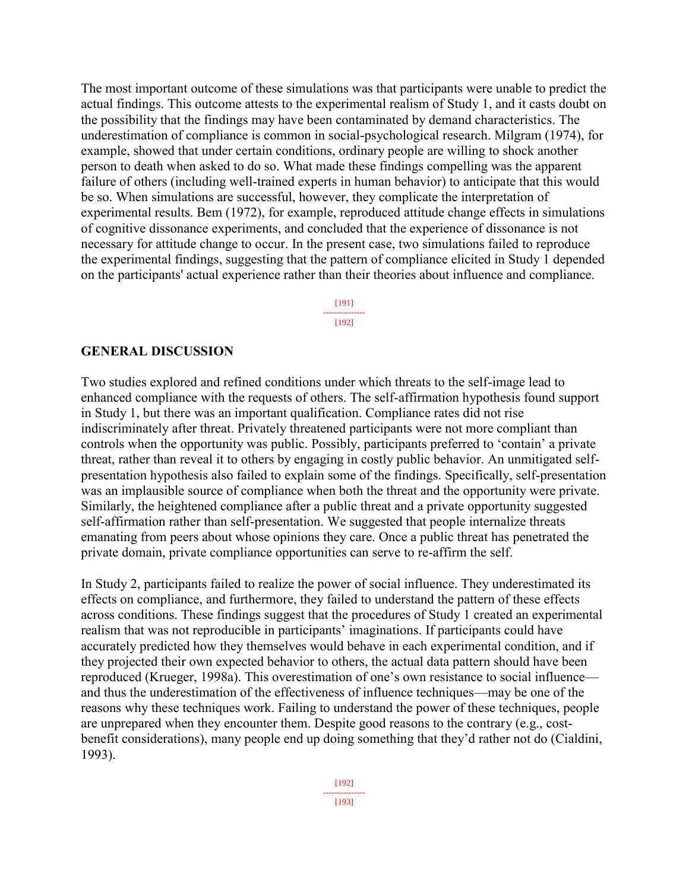The most important outcome of these simulations was that participants were unable to predict the actual findings. This outcome attests to the experimental realism of Study 1, and it casts doubt on the possibility that the findings may have been contaminated by demand characteristics. The underestimation of compliance is common in social-psychological research. Milgram (1974), for example, showed that under certain conditions, ordinary people are willing to shock another person to death when asked to do so. What made these findings compelling was the apparent failure of others (including well-trained experts in human behavior) to anticipate that this would be so. When simulations are successful, however, they complicate the interpretation of experimental results. Bem (1972), for example, reproduced attitude change effects in simulations of cognitive dissonance experiments, and concluded that the experience of dissonance is not necessary for attitude change to occur. In the present case, two simulations failed to reproduce the experimental findings, suggesting that the pattern of compliance elicited in Study 1 depended on the participants' actual experience rather than their theories about influence and compliance.

> [191] --------------- [192]

#### **GENERAL DISCUSSION**

Two studies explored and refined conditions under which threats to the self-image lead to enhanced compliance with the requests of others. The self-affirmation hypothesis found support in Study 1, but there was an important qualification. Compliance rates did not rise indiscriminately after threat. Privately threatened participants were not more compliant than controls when the opportunity was public. Possibly, participants preferred to 'contain' a private threat, rather than reveal it to others by engaging in costly public behavior. An unmitigated selfpresentation hypothesis also failed to explain some of the findings. Specifically, self-presentation was an implausible source of compliance when both the threat and the opportunity were private. Similarly, the heightened compliance after a public threat and a private opportunity suggested self-affirmation rather than self-presentation. We suggested that people internalize threats emanating from peers about whose opinions they care. Once a public threat has penetrated the private domain, private compliance opportunities can serve to re-affirm the self.

In Study 2, participants failed to realize the power of social influence. They underestimated its effects on compliance, and furthermore, they failed to understand the pattern of these effects across conditions. These findings suggest that the procedures of Study 1 created an experimental realism that was not reproducible in participants' imaginations. If participants could have accurately predicted how they themselves would behave in each experimental condition, and if they projected their own expected behavior to others, the actual data pattern should have been reproduced (Krueger, 1998a). This overestimation of one's own resistance to social influence and thus the underestimation of the effectiveness of influence techniques—may be one of the reasons why these techniques work. Failing to understand the power of these techniques, people are unprepared when they encounter them. Despite good reasons to the contrary (e.g., costbenefit considerations), many people end up doing something that they'd rather not do (Cialdini, 1993).

> [192] --------------- [193]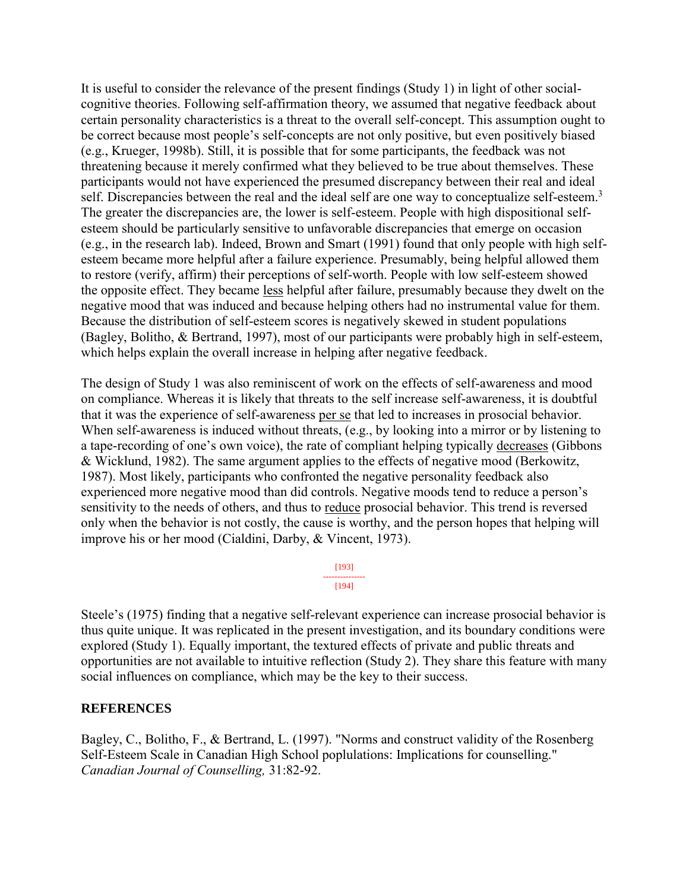It is useful to consider the relevance of the present findings (Study 1) in light of other socialcognitive theories. Following self-affirmation theory, we assumed that negative feedback about certain personality characteristics is a threat to the overall self-concept. This assumption ought to be correct because most people's self-concepts are not only positive, but even positively biased (e.g., Krueger, 1998b). Still, it is possible that for some participants, the feedback was not threatening because it merely confirmed what they believed to be true about themselves. These participants would not have experienced the presumed discrepancy between their real and ideal self. Discrepancies between the real and the ideal self are one way to conceptualize self-esteem.<sup>3</sup> The greater the discrepancies are, the lower is self-esteem. People with high dispositional selfesteem should be particularly sensitive to unfavorable discrepancies that emerge on occasion (e.g., in the research lab). Indeed, Brown and Smart (1991) found that only people with high selfesteem became more helpful after a failure experience. Presumably, being helpful allowed them to restore (verify, affirm) their perceptions of self-worth. People with low self-esteem showed the opposite effect. They became less helpful after failure, presumably because they dwelt on the negative mood that was induced and because helping others had no instrumental value for them. Because the distribution of self-esteem scores is negatively skewed in student populations (Bagley, Bolitho, & Bertrand, 1997), most of our participants were probably high in self-esteem, which helps explain the overall increase in helping after negative feedback.

The design of Study 1 was also reminiscent of work on the effects of self-awareness and mood on compliance. Whereas it is likely that threats to the self increase self-awareness, it is doubtful that it was the experience of self-awareness per se that led to increases in prosocial behavior. When self-awareness is induced without threats, (e.g., by looking into a mirror or by listening to a tape-recording of one's own voice), the rate of compliant helping typically decreases (Gibbons & Wicklund, 1982). The same argument applies to the effects of negative mood (Berkowitz, 1987). Most likely, participants who confronted the negative personality feedback also experienced more negative mood than did controls. Negative moods tend to reduce a person's sensitivity to the needs of others, and thus to reduce prosocial behavior. This trend is reversed only when the behavior is not costly, the cause is worthy, and the person hopes that helping will improve his or her mood (Cialdini, Darby, & Vincent, 1973).

> [193] --------------- [194]

Steele's (1975) finding that a negative self-relevant experience can increase prosocial behavior is thus quite unique. It was replicated in the present investigation, and its boundary conditions were explored (Study 1). Equally important, the textured effects of private and public threats and opportunities are not available to intuitive reflection (Study 2). They share this feature with many social influences on compliance, which may be the key to their success.

#### **REFERENCES**

Bagley, C., Bolitho, F., & Bertrand, L. (1997). "Norms and construct validity of the Rosenberg Self-Esteem Scale in Canadian High School poplulations: Implications for counselling." *Canadian Journal of Counselling,* 31:82-92.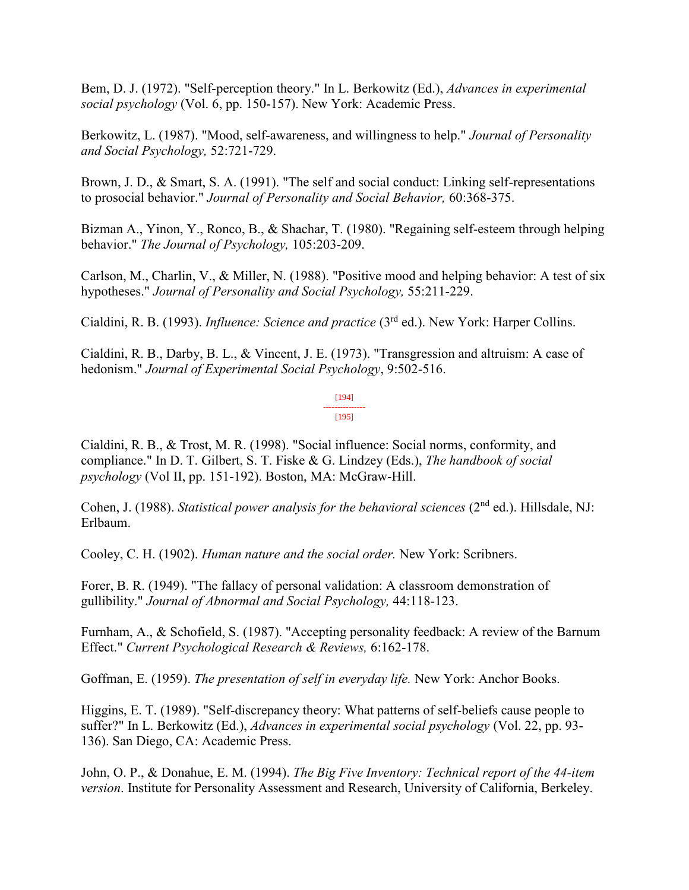Bem, D. J. (1972). "Self-perception theory." In L. Berkowitz (Ed.), *Advances in experimental social psychology* (Vol. 6, pp. 150-157). New York: Academic Press.

Berkowitz, L. (1987). "Mood, self-awareness, and willingness to help." *Journal of Personality and Social Psychology,* 52:721-729.

Brown, J. D., & Smart, S. A. (1991). "The self and social conduct: Linking self-representations to prosocial behavior." *Journal of Personality and Social Behavior,* 60:368-375.

Bizman A., Yinon, Y., Ronco, B., & Shachar, T. (1980). "Regaining self-esteem through helping behavior." *The Journal of Psychology,* 105:203-209.

Carlson, M., Charlin, V., & Miller, N. (1988). "Positive mood and helping behavior: A test of six hypotheses." *Journal of Personality and Social Psychology,* 55:211-229.

Cialdini, R. B. (1993). *Influence: Science and practice* (3rd ed.). New York: Harper Collins.

Cialdini, R. B., Darby, B. L., & Vincent, J. E. (1973). "Transgression and altruism: A case of hedonism." *Journal of Experimental Social Psychology*, 9:502-516.

> [194] --------------- [195]

Cialdini, R. B., & Trost, M. R. (1998). "Social influence: Social norms, conformity, and compliance." In D. T. Gilbert, S. T. Fiske & G. Lindzey (Eds.), *The handbook of social psychology* (Vol II, pp. 151-192). Boston, MA: McGraw-Hill.

Cohen, J. (1988). *Statistical power analysis for the behavioral sciences* (2<sup>nd</sup> ed.). Hillsdale, NJ: Erlbaum.

Cooley, C. H. (1902). *Human nature and the social order.* New York: Scribners.

Forer, B. R. (1949). "The fallacy of personal validation: A classroom demonstration of gullibility." *Journal of Abnormal and Social Psychology,* 44:118-123.

Furnham, A., & Schofield, S. (1987). "Accepting personality feedback: A review of the Barnum Effect." *Current Psychological Research & Reviews,* 6:162-178.

Goffman, E. (1959). *The presentation of self in everyday life.* New York: Anchor Books.

Higgins, E. T. (1989). "Self-discrepancy theory: What patterns of self-beliefs cause people to suffer?" In L. Berkowitz (Ed.), *Advances in experimental social psychology* (Vol. 22, pp. 93- 136). San Diego, CA: Academic Press.

John, O. P., & Donahue, E. M. (1994). *The Big Five Inventory: Technical report of the 44-item version*. Institute for Personality Assessment and Research, University of California, Berkeley.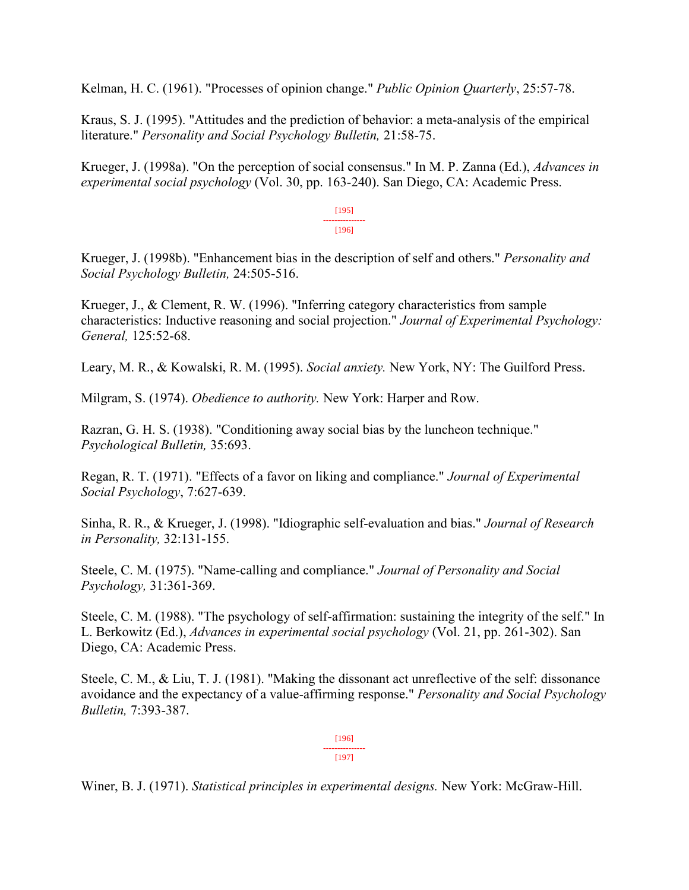Kelman, H. C. (1961). "Processes of opinion change." *Public Opinion Quarterly*, 25:57-78.

Kraus, S. J. (1995). "Attitudes and the prediction of behavior: a meta-analysis of the empirical literature." *Personality and Social Psychology Bulletin,* 21:58-75.

Krueger, J. (1998a). "On the perception of social consensus." In M. P. Zanna (Ed.), *Advances in experimental social psychology* (Vol. 30, pp. 163-240). San Diego, CA: Academic Press.

> [195] --------------- [196]

Krueger, J. (1998b). "Enhancement bias in the description of self and others." *Personality and Social Psychology Bulletin,* 24:505-516.

Krueger, J., & Clement, R. W. (1996). "Inferring category characteristics from sample characteristics: Inductive reasoning and social projection." *Journal of Experimental Psychology: General,* 125:52-68.

Leary, M. R., & Kowalski, R. M. (1995). *Social anxiety.* New York, NY: The Guilford Press.

Milgram, S. (1974). *Obedience to authority.* New York: Harper and Row.

Razran, G. H. S. (1938). "Conditioning away social bias by the luncheon technique." *Psychological Bulletin,* 35:693.

Regan, R. T. (1971). "Effects of a favor on liking and compliance." *Journal of Experimental Social Psychology*, 7:627-639.

Sinha, R. R., & Krueger, J. (1998). "Idiographic self-evaluation and bias." *Journal of Research in Personality,* 32:131-155.

Steele, C. M. (1975). "Name-calling and compliance." *Journal of Personality and Social Psychology,* 31:361-369.

Steele, C. M. (1988). "The psychology of self-affirmation: sustaining the integrity of the self." In L. Berkowitz (Ed.), *Advances in experimental social psychology* (Vol. 21, pp. 261-302). San Diego, CA: Academic Press.

Steele, C. M., & Liu, T. J. (1981). "Making the dissonant act unreflective of the self: dissonance avoidance and the expectancy of a value-affirming response." *Personality and Social Psychology Bulletin,* 7:393-387.

> [196] --------------- [197]

Winer, B. J. (1971). *Statistical principles in experimental designs.* New York: McGraw-Hill.